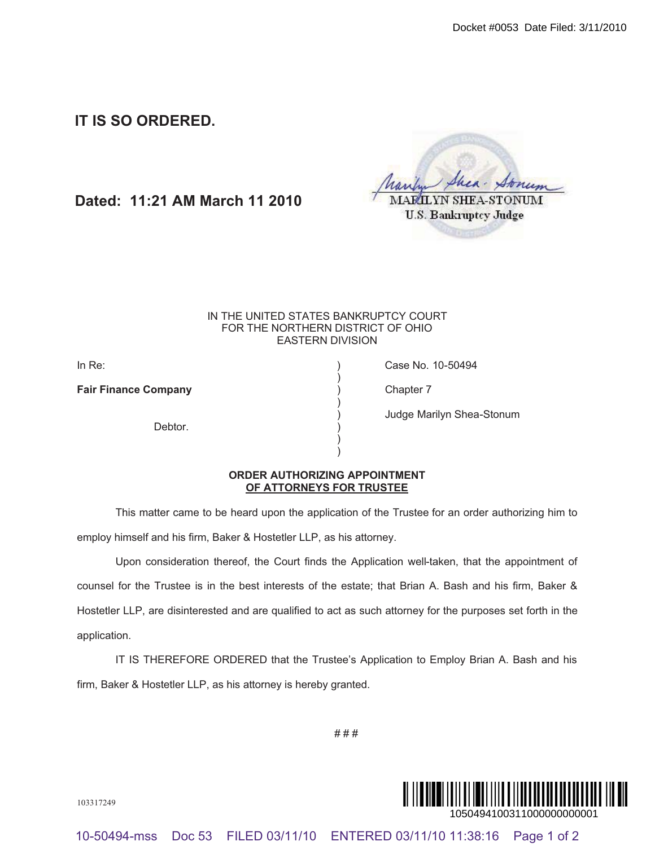**IT IS SO ORDERED.**

**Dated: 11:21 AM March 11 2010**

| Shea - Stoney                |
|------------------------------|
| MARILYN SHEA-STONUM          |
| <b>U.S. Bankruptcy Judge</b> |

## IN THE UNITED STATES BANKRUPTCY COURT FOR THE NORTHERN DISTRICT OF OHIO EASTERN DIVISION

)

)

) )

**Fair Finance Company Chapter 7** (Chapter 7

Debtor<sub>.</sub>

In Re: ) Case No. 10-50494

) Judge Marilyn Shea-Stonum

## **ORDER AUTHORIZING APPOINTMENT OF ATTORNEYS FOR TRUSTEE**

This matter came to be heard upon the application of the Trustee for an order authorizing him to employ himself and his firm, Baker & Hostetler LLP, as his attorney.

Upon consideration thereof, the Court finds the Application well-taken, that the appointment of counsel for the Trustee is in the best interests of the estate; that Brian A. Bash and his firm, Baker & Hostetler LLP, are disinterested and are qualified to act as such attorney for the purposes set forth in the application. 10-50494-mss Doc 53 FILED 03/11/10 ENTERED 03/11/10 11:38:16 Page 1 of 2 ¨1¤%\$~\*#+ !k« 1050494100311000000000001 Docket #0053 Date Filed: 3/11/2010

IT IS THEREFORE ORDERED that the Trustee's Application to Employ Brian A. Bash and his firm, Baker & Hostetler LLP, as his attorney is hereby granted.

# # #



103317249